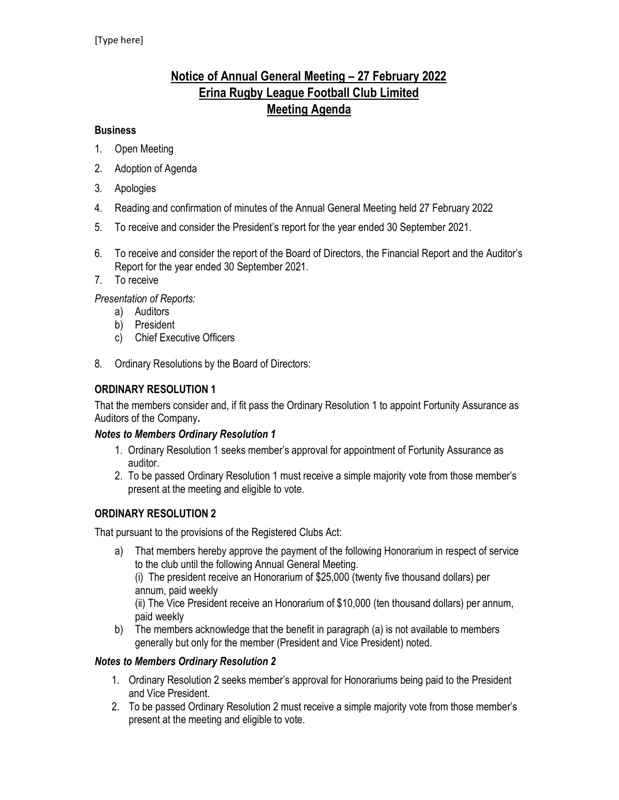# Notice of Annual General Meeting – 27 February 2022 Erina Rugby League Football Club Limited Meeting Agenda

### **Business**

- 1. Open Meeting
- 2. Adoption of Agenda
- 3. Apologies
- 4. Reading and confirmation of minutes of the Annual General Meeting held 27 February 2022
- 5. To receive and consider the President's report for the year ended 30 September 2021.
- 6. To receive and consider the report of the Board of Directors, the Financial Report and the Auditor's Report for the year ended 30 September 2021.
- 7. To receive

Presentation of Reports:

- a) Auditors
- b) President
- c) Chief Executive Officers
- 8. Ordinary Resolutions by the Board of Directors:

### ORDINARY RESOLUTION 1

That the members consider and, if fit pass the Ordinary Resolution 1 to appoint Fortunity Assurance as Auditors of the Company.

### Notes to Members Ordinary Resolution 1

- 1. Ordinary Resolution 1 seeks member's approval for appointment of Fortunity Assurance as auditor.
- 2. To be passed Ordinary Resolution 1 must receive a simple majority vote from those member's present at the meeting and eligible to vote.

### ORDINARY RESOLUTION 2

That pursuant to the provisions of the Registered Clubs Act:

- a) That members hereby approve the payment of the following Honorarium in respect of service to the club until the following Annual General Meeting. (i) The president receive an Honorarium of \$25,000 (twenty five thousand dollars) per annum, paid weekly (ii) The Vice President receive an Honorarium of \$10,000 (ten thousand dollars) per annum, paid weekly
- b) The members acknowledge that the benefit in paragraph (a) is not available to members generally but only for the member (President and Vice President) noted.

### Notes to Members Ordinary Resolution 2

- 1. Ordinary Resolution 2 seeks member's approval for Honorariums being paid to the President and Vice President.
- 2. To be passed Ordinary Resolution 2 must receive a simple majority vote from those member's present at the meeting and eligible to vote.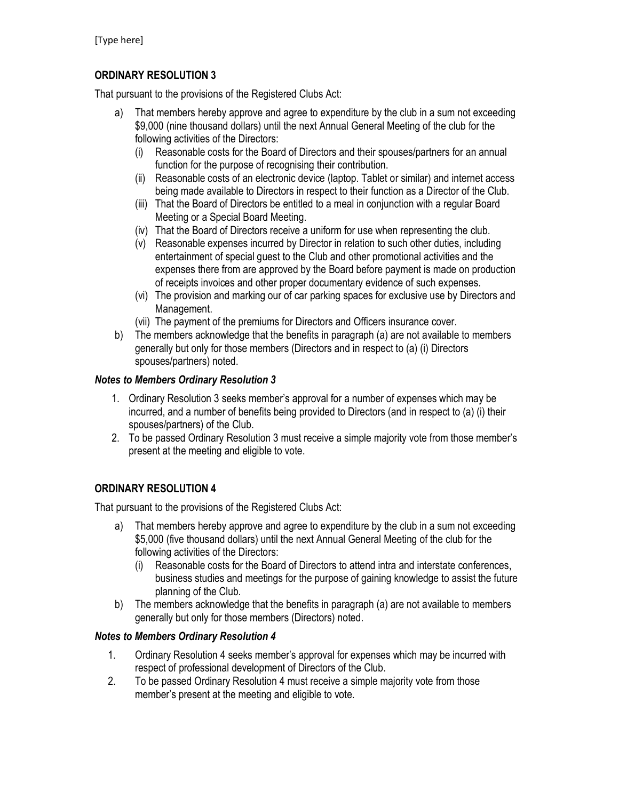# ORDINARY RESOLUTION 3

That pursuant to the provisions of the Registered Clubs Act:

- a) That members hereby approve and agree to expenditure by the club in a sum not exceeding \$9,000 (nine thousand dollars) until the next Annual General Meeting of the club for the following activities of the Directors:
	- (i) Reasonable costs for the Board of Directors and their spouses/partners for an annual function for the purpose of recognising their contribution.
	- (ii) Reasonable costs of an electronic device (laptop. Tablet or similar) and internet access being made available to Directors in respect to their function as a Director of the Club.
	- (iii) That the Board of Directors be entitled to a meal in conjunction with a regular Board Meeting or a Special Board Meeting.
	- (iv) That the Board of Directors receive a uniform for use when representing the club.
	- (v) Reasonable expenses incurred by Director in relation to such other duties, including entertainment of special guest to the Club and other promotional activities and the expenses there from are approved by the Board before payment is made on production of receipts invoices and other proper documentary evidence of such expenses.
	- (vi) The provision and marking our of car parking spaces for exclusive use by Directors and Management.
	- (vii) The payment of the premiums for Directors and Officers insurance cover.
- b) The members acknowledge that the benefits in paragraph (a) are not available to members generally but only for those members (Directors and in respect to (a) (i) Directors spouses/partners) noted.

### Notes to Members Ordinary Resolution 3

- 1. Ordinary Resolution 3 seeks member's approval for a number of expenses which may be incurred, and a number of benefits being provided to Directors (and in respect to (a) (i) their spouses/partners) of the Club.
- 2. To be passed Ordinary Resolution 3 must receive a simple majority vote from those member's present at the meeting and eligible to vote.

# ORDINARY RESOLUTION 4

That pursuant to the provisions of the Registered Clubs Act:

- a) That members hereby approve and agree to expenditure by the club in a sum not exceeding \$5,000 (five thousand dollars) until the next Annual General Meeting of the club for the following activities of the Directors:
	- (i) Reasonable costs for the Board of Directors to attend intra and interstate conferences, business studies and meetings for the purpose of gaining knowledge to assist the future planning of the Club.
- b) The members acknowledge that the benefits in paragraph (a) are not available to members generally but only for those members (Directors) noted.

# Notes to Members Ordinary Resolution 4

- 1. Ordinary Resolution 4 seeks member's approval for expenses which may be incurred with respect of professional development of Directors of the Club.
- 2. To be passed Ordinary Resolution 4 must receive a simple majority vote from those member's present at the meeting and eligible to vote.